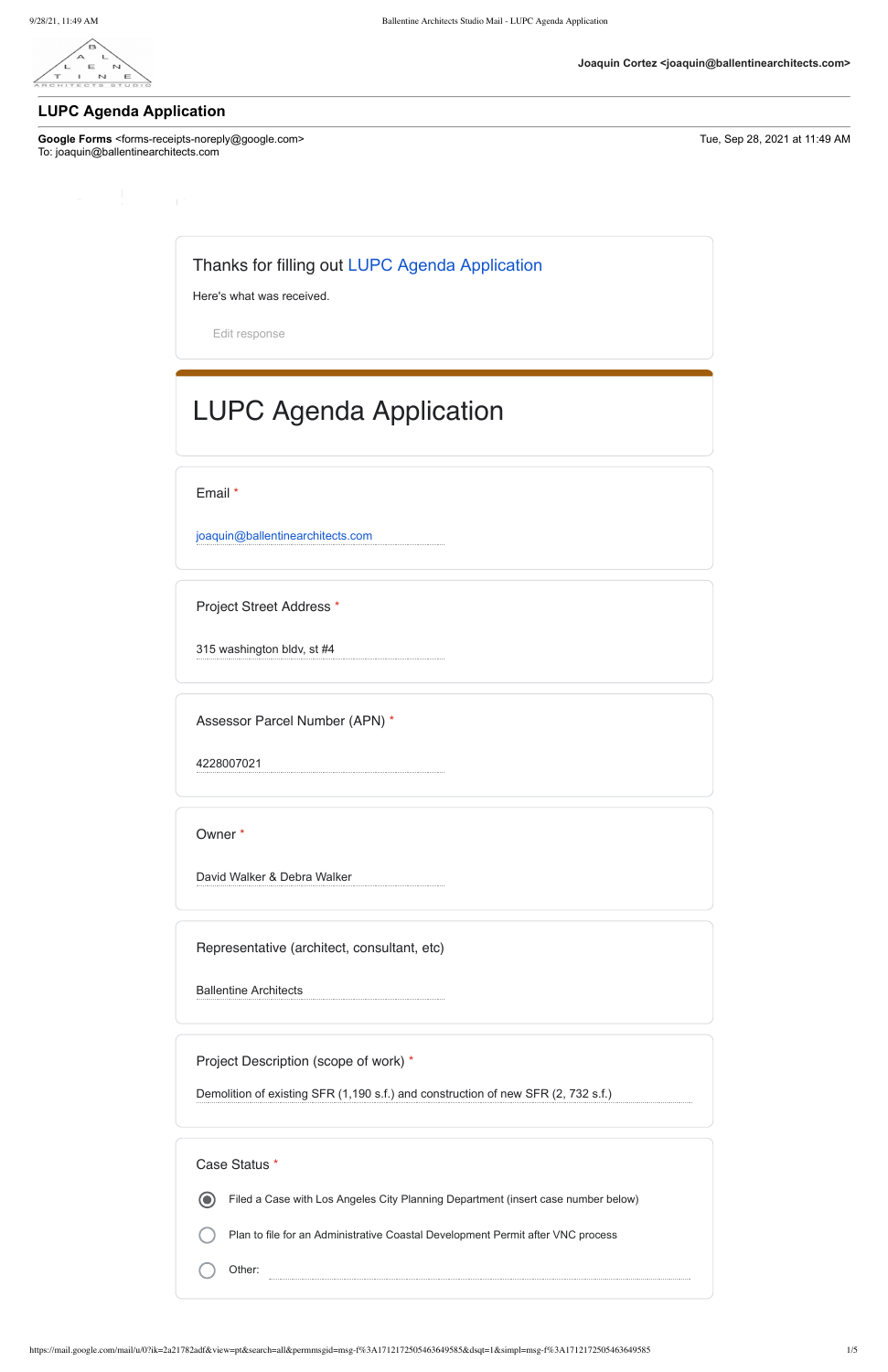

Google Forms <forms-receipts-noreply@google.com> Tue, Sep 28, 2021 at 11:49 AM To: joaquin@ballentinearchitects.com

**Joaquin Cortez <joaquin@ballentinearchitects.com>**

# **LUPC Agenda Application**

Thanks for filling out [LUPC Agenda Application](https://docs.google.com/forms/d/e/1FAIpQLSf3a2ZhY3qGOzs1VpiEXq77XiWCGkiYW7_Og7GmOGzHoTLY5w/viewform?edit2=2_ABaOnucPmQVqlgOGH9-ta3APpyMpgInb-1T8ynzvbV2zEoB_HC4nM8NV0ipZHEzqz-O-Meg&usp=mail_form_link)

Here's what was received. [Edit response](https://docs.google.com/forms/d/e/1FAIpQLSf3a2ZhY3qGOzs1VpiEXq77XiWCGkiYW7_Og7GmOGzHoTLY5w/viewform?edit2=2_ABaOnucPmQVqlgOGH9-ta3APpyMpgInb-1T8ynzvbV2zEoB_HC4nM8NV0ipZHEzqz-O-Meg&edit2=2_ABaOnucPmQVqlgOGH9-ta3APpyMpgInb-1T8ynzvbV2zEoB_HC4nM8NV0ipZHEzqz-O-Meg) LUPC Agenda Application

Email \*

[joaquin@ballentinearchitects.com](mailto:joaquin@ballentinearchitects.com)

Project Street Address \*

315 washington bldv, st #4

Assessor Parcel Number (APN) \*

4228007021

Owner \*

David Walker & Debra Walker

Representative (architect, consultant, etc)

Ballentine Architects

Project Description (scope of work) \*

Demolition of existing SFR (1,190 s.f.) and construction of new SFR (2, 732 s.f.)

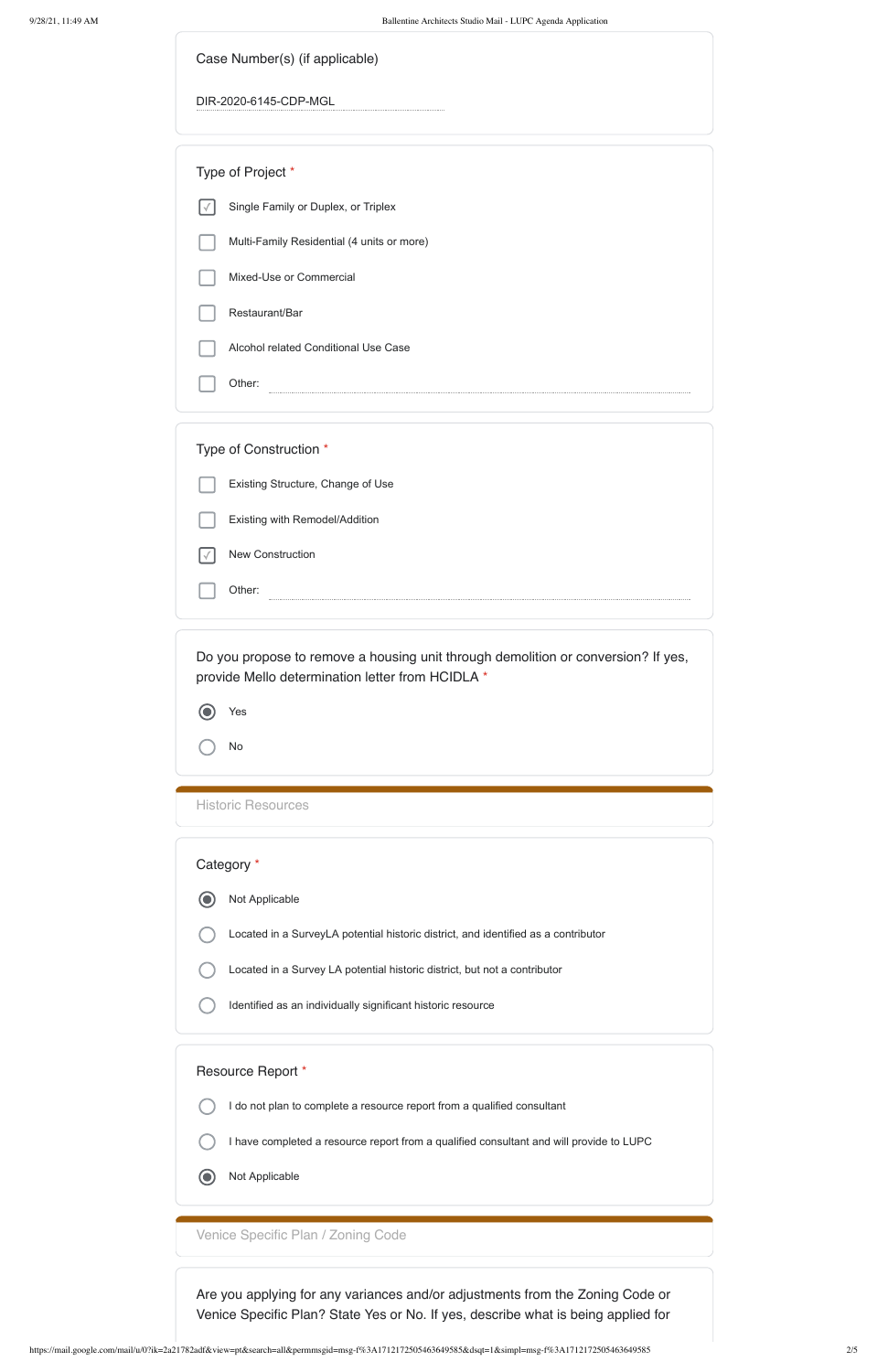| Case Number(s) (if applicable) |  |  |
|--------------------------------|--|--|
|--------------------------------|--|--|

DIR-2020-6145-CDP-MGL

Type of Project \*

| Category * |  |                                                                                    |  |  |
|------------|--|------------------------------------------------------------------------------------|--|--|
|            |  | Not Applicable                                                                     |  |  |
|            |  | Located in a SurveyLA potential historic district, and identified as a contributor |  |  |
|            |  | Located in a Survey LA potential historic district, but not a contributor          |  |  |
|            |  | Identified as an individually significant historic resource                        |  |  |

#### Identified as an individually significant historic res

- Single Family or Duplex, or Triplex  $\vert \vee \vert$ 
	- Multi-Family Residential (4 units or more)
- Mixed-Use or Commercial
- Restaurant/Bar
- Alcohol related Conditional Use Case

Other: 

| Type of Construction *            |
|-----------------------------------|
| Existing Structure, Change of Use |
| Existing with Remodel/Addition    |
| <b>New Construction</b>           |
| Other:<br>----------------        |

#### Not Applicable  $\odot$

Do you propose to remove a housing unit through demolition or conversion? If yes, provide Mello determination letter from HCIDLA \*

| Yes |  |
|-----|--|
| No  |  |

Historic Resources

# Resource Report \*

I do not plan to complete a resource report from a qualified consultant

I have completed a resource report from a qualified consultant and will provide to LUPC

Venice Specific Plan / Zoning Code

Are you applying for any variances and/or adjustments from the Zoning Code or Venice Specific Plan? State Yes or No. If yes, describe what is being applied for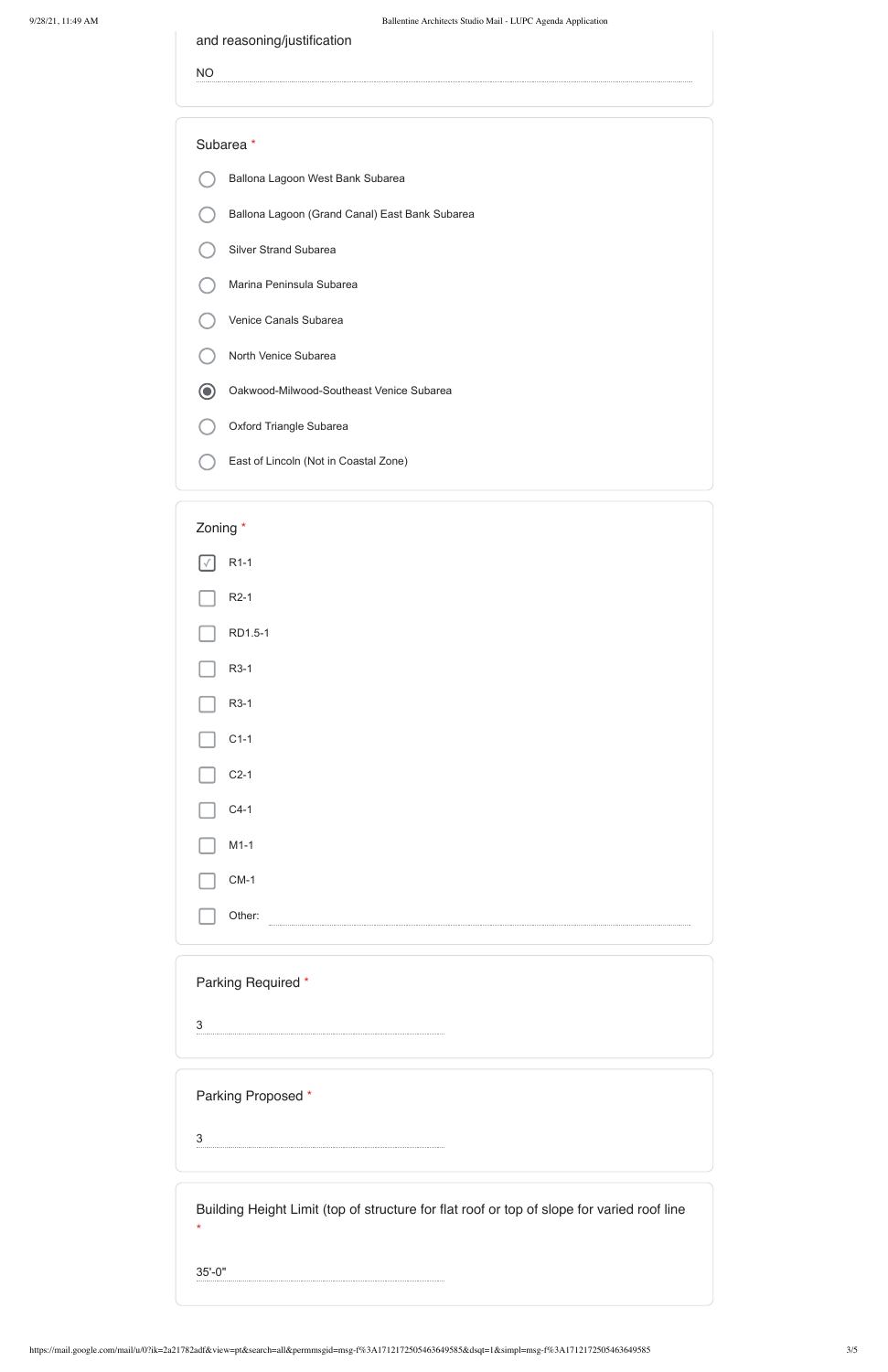and reasoning/justification

NO

### Subarea \*

- Ballona Lagoon West Bank Subarea
- Ballona Lagoon (Grand Canal) East Bank Subarea
- Silver Strand Subarea
- Marina Peninsula Subarea
- Venice Canals Subarea
- North Venice Subarea
- Oakwood-Milwood-Southeast Venice Subarea  $\odot$
- Oxford Triangle Subarea
- East of Lincoln (Not in Coastal Zone)



Parking Required \*

3



Building Height Limit (top of structure for flat roof or top of slope for varied roof line \* 35'-0"